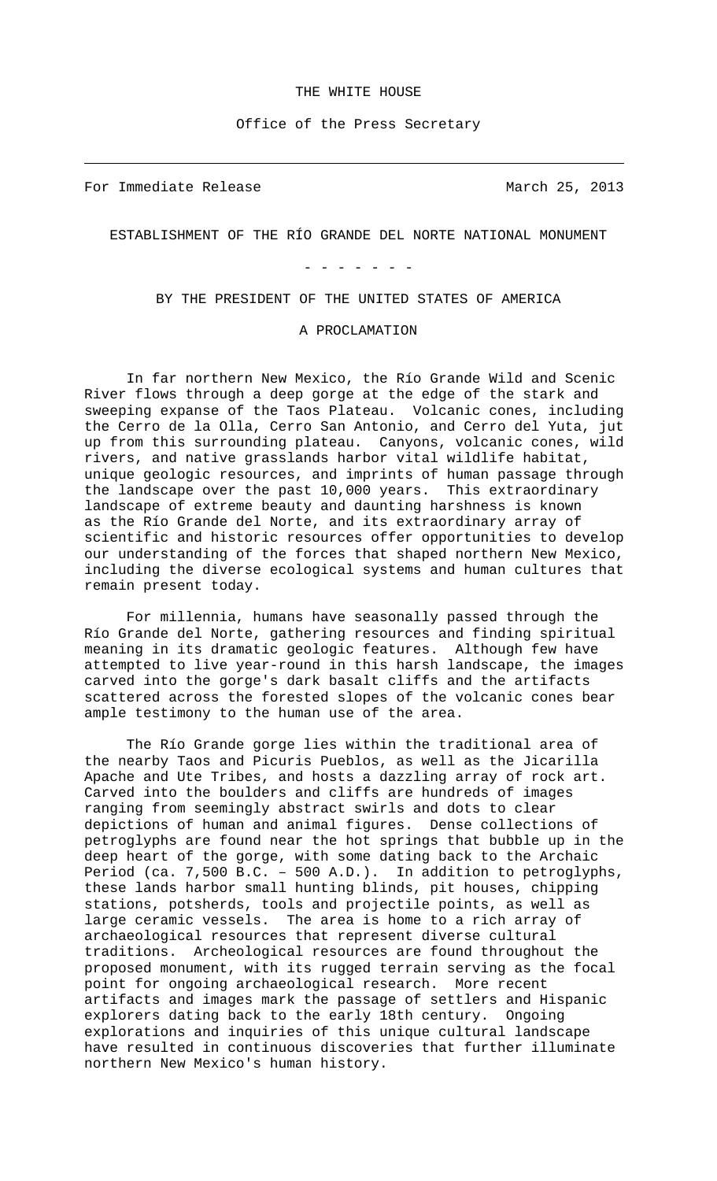## THE WHITE HOUSE

Office of the Press Secretary

For Immediate Release and March 25, 2013

 $\overline{\phantom{0}}$ 

ESTABLISHMENT OF THE RÍO GRANDE DEL NORTE NATIONAL MONUMENT

- - - - - - -

BY THE PRESIDENT OF THE UNITED STATES OF AMERICA

## A PROCLAMATION

In far northern New Mexico, the Río Grande Wild and Scenic River flows through a deep gorge at the edge of the stark and sweeping expanse of the Taos Plateau. Volcanic cones, including the Cerro de la Olla, Cerro San Antonio, and Cerro del Yuta, jut up from this surrounding plateau. Canyons, volcanic cones, wild rivers, and native grasslands harbor vital wildlife habitat, unique geologic resources, and imprints of human passage through the landscape over the past 10,000 years. This extraordinary landscape of extreme beauty and daunting harshness is known as the Río Grande del Norte, and its extraordinary array of scientific and historic resources offer opportunities to develop our understanding of the forces that shaped northern New Mexico, including the diverse ecological systems and human cultures that remain present today.

For millennia, humans have seasonally passed through the Río Grande del Norte, gathering resources and finding spiritual meaning in its dramatic geologic features. Although few have attempted to live year-round in this harsh landscape, the images carved into the gorge's dark basalt cliffs and the artifacts scattered across the forested slopes of the volcanic cones bear ample testimony to the human use of the area.

The Río Grande gorge lies within the traditional area of the nearby Taos and Picuris Pueblos, as well as the Jicarilla Apache and Ute Tribes, and hosts a dazzling array of rock art. Carved into the boulders and cliffs are hundreds of images ranging from seemingly abstract swirls and dots to clear depictions of human and animal figures. Dense collections of petroglyphs are found near the hot springs that bubble up in the deep heart of the gorge, with some dating back to the Archaic Period (ca. 7,500 B.C. – 500 A.D.). In addition to petroglyphs, these lands harbor small hunting blinds, pit houses, chipping stations, potsherds, tools and projectile points, as well as large ceramic vessels. The area is home to a rich array of archaeological resources that represent diverse cultural traditions. Archeological resources are found throughout the proposed monument, with its rugged terrain serving as the focal point for ongoing archaeological research. More recent artifacts and images mark the passage of settlers and Hispanic explorers dating back to the early 18th century. Ongoing explorations and inquiries of this unique cultural landscape have resulted in continuous discoveries that further illuminate northern New Mexico's human history.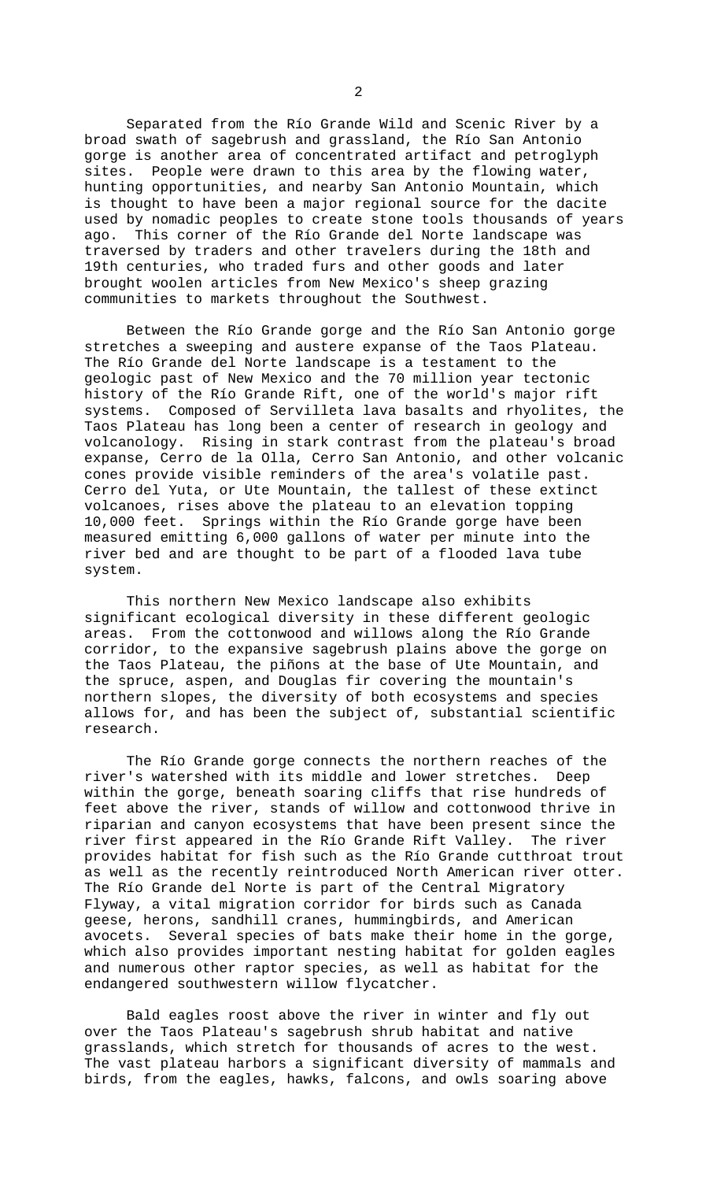Separated from the Río Grande Wild and Scenic River by a broad swath of sagebrush and grassland, the Río San Antonio gorge is another area of concentrated artifact and petroglyph sites. People were drawn to this area by the flowing water, hunting opportunities, and nearby San Antonio Mountain, which is thought to have been a major regional source for the dacite used by nomadic peoples to create stone tools thousands of years ago. This corner of the Río Grande del Norte landscape was traversed by traders and other travelers during the 18th and 19th centuries, who traded furs and other goods and later brought woolen articles from New Mexico's sheep grazing communities to markets throughout the Southwest.

Between the Río Grande gorge and the Río San Antonio gorge stretches a sweeping and austere expanse of the Taos Plateau. The Río Grande del Norte landscape is a testament to the geologic past of New Mexico and the 70 million year tectonic history of the Río Grande Rift, one of the world's major rift systems. Composed of Servilleta lava basalts and rhyolites, the Taos Plateau has long been a center of research in geology and volcanology. Rising in stark contrast from the plateau's broad expanse, Cerro de la Olla, Cerro San Antonio, and other volcanic cones provide visible reminders of the area's volatile past. Cerro del Yuta, or Ute Mountain, the tallest of these extinct volcanoes, rises above the plateau to an elevation topping 10,000 feet. Springs within the Río Grande gorge have been measured emitting 6,000 gallons of water per minute into the river bed and are thought to be part of a flooded lava tube system.

This northern New Mexico landscape also exhibits significant ecological diversity in these different geologic areas. From the cottonwood and willows along the Río Grande corridor, to the expansive sagebrush plains above the gorge on the Taos Plateau, the piñons at the base of Ute Mountain, and the spruce, aspen, and Douglas fir covering the mountain's northern slopes, the diversity of both ecosystems and species allows for, and has been the subject of, substantial scientific research.

The Río Grande gorge connects the northern reaches of the river's watershed with its middle and lower stretches. Deep within the gorge, beneath soaring cliffs that rise hundreds of feet above the river, stands of willow and cottonwood thrive in riparian and canyon ecosystems that have been present since the river first appeared in the Río Grande Rift Valley. The river provides habitat for fish such as the Río Grande cutthroat trout as well as the recently reintroduced North American river otter. The Río Grande del Norte is part of the Central Migratory Flyway, a vital migration corridor for birds such as Canada geese, herons, sandhill cranes, hummingbirds, and American avocets. Several species of bats make their home in the gorge, which also provides important nesting habitat for golden eagles and numerous other raptor species, as well as habitat for the endangered southwestern willow flycatcher.

Bald eagles roost above the river in winter and fly out over the Taos Plateau's sagebrush shrub habitat and native grasslands, which stretch for thousands of acres to the west. The vast plateau harbors a significant diversity of mammals and birds, from the eagles, hawks, falcons, and owls soaring above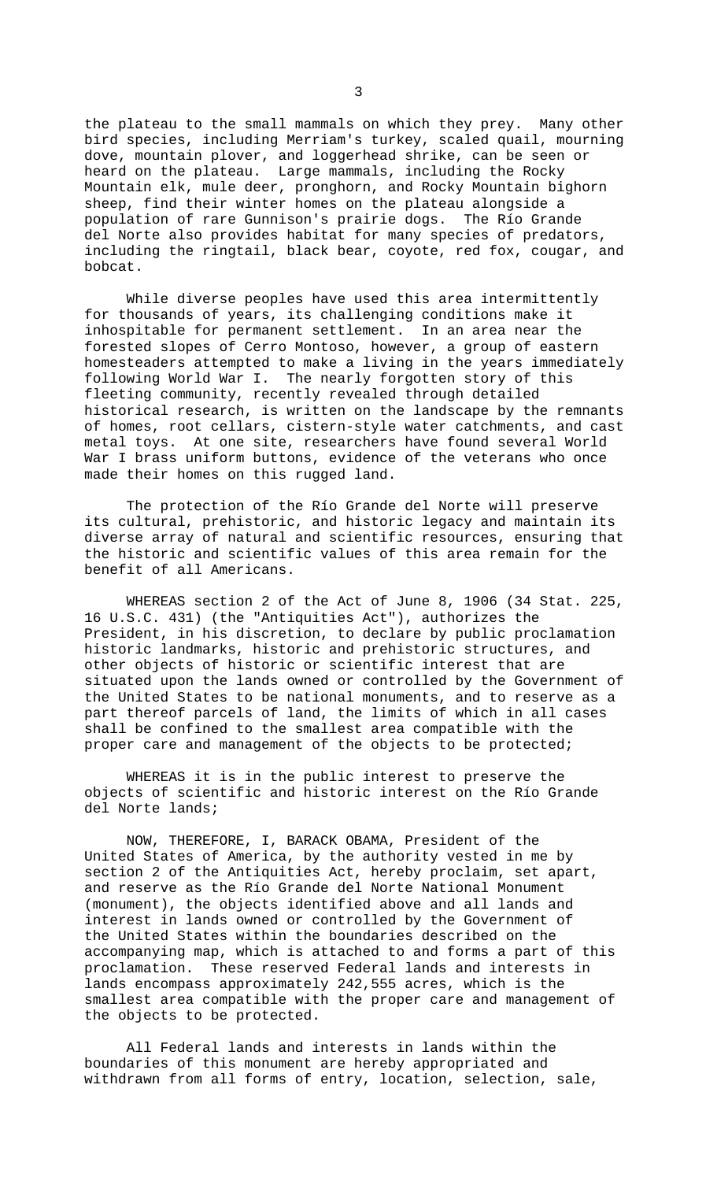the plateau to the small mammals on which they prey. Many other bird species, including Merriam's turkey, scaled quail, mourning dove, mountain plover, and loggerhead shrike, can be seen or heard on the plateau. Large mammals, including the Rocky Mountain elk, mule deer, pronghorn, and Rocky Mountain bighorn sheep, find their winter homes on the plateau alongside a population of rare Gunnison's prairie dogs. The Río Grande del Norte also provides habitat for many species of predators, including the ringtail, black bear, coyote, red fox, cougar, and bobcat.

While diverse peoples have used this area intermittently for thousands of years, its challenging conditions make it inhospitable for permanent settlement. In an area near the forested slopes of Cerro Montoso, however, a group of eastern homesteaders attempted to make a living in the years immediately following World War I. The nearly forgotten story of this fleeting community, recently revealed through detailed historical research, is written on the landscape by the remnants of homes, root cellars, cistern-style water catchments, and cast metal toys. At one site, researchers have found several World War I brass uniform buttons, evidence of the veterans who once made their homes on this rugged land.

The protection of the Río Grande del Norte will preserve its cultural, prehistoric, and historic legacy and maintain its diverse array of natural and scientific resources, ensuring that the historic and scientific values of this area remain for the benefit of all Americans.

WHEREAS section 2 of the Act of June 8, 1906 (34 Stat. 225, 16 U.S.C. 431) (the "Antiquities Act"), authorizes the President, in his discretion, to declare by public proclamation historic landmarks, historic and prehistoric structures, and other objects of historic or scientific interest that are situated upon the lands owned or controlled by the Government of the United States to be national monuments, and to reserve as a part thereof parcels of land, the limits of which in all cases shall be confined to the smallest area compatible with the proper care and management of the objects to be protected;

WHEREAS it is in the public interest to preserve the objects of scientific and historic interest on the Río Grande del Norte lands;

NOW, THEREFORE, I, BARACK OBAMA, President of the United States of America, by the authority vested in me by section 2 of the Antiquities Act, hereby proclaim, set apart, and reserve as the Río Grande del Norte National Monument (monument), the objects identified above and all lands and interest in lands owned or controlled by the Government of the United States within the boundaries described on the accompanying map, which is attached to and forms a part of this proclamation. These reserved Federal lands and interests in lands encompass approximately 242,555 acres, which is the smallest area compatible with the proper care and management of the objects to be protected.

All Federal lands and interests in lands within the boundaries of this monument are hereby appropriated and withdrawn from all forms of entry, location, selection, sale,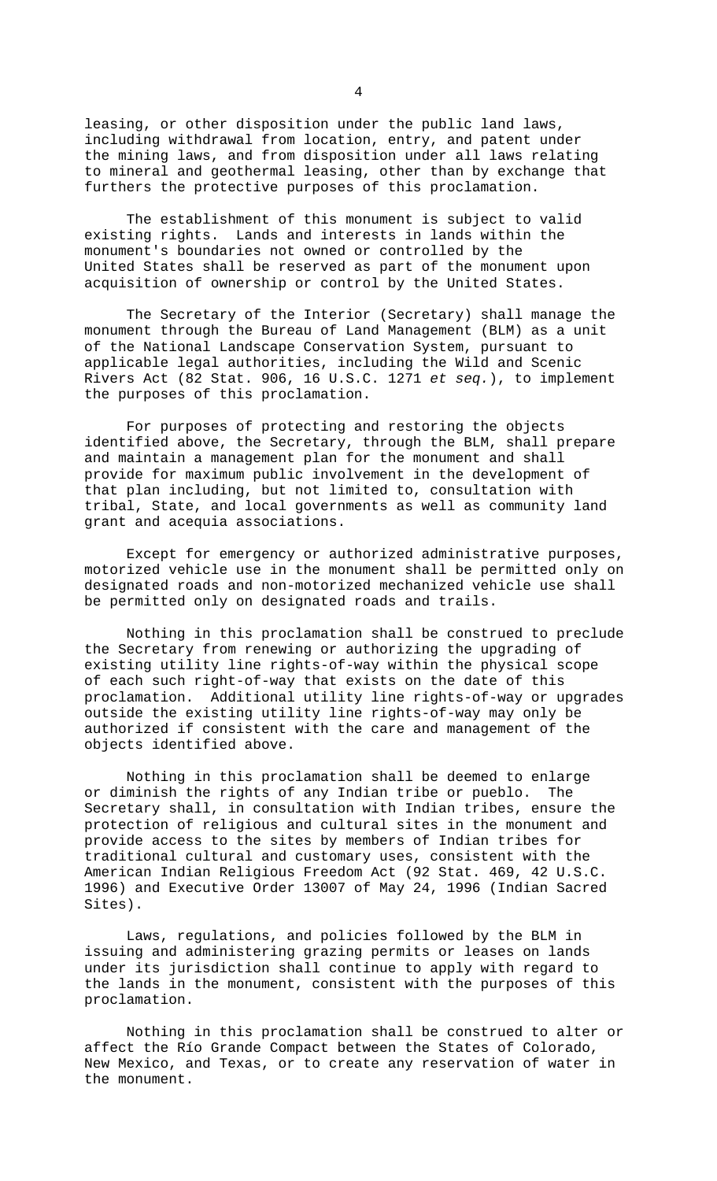leasing, or other disposition under the public land laws, including withdrawal from location, entry, and patent under the mining laws, and from disposition under all laws relating to mineral and geothermal leasing, other than by exchange that furthers the protective purposes of this proclamation.

The establishment of this monument is subject to valid existing rights. Lands and interests in lands within the monument's boundaries not owned or controlled by the United States shall be reserved as part of the monument upon acquisition of ownership or control by the United States.

The Secretary of the Interior (Secretary) shall manage the monument through the Bureau of Land Management (BLM) as a unit of the National Landscape Conservation System, pursuant to applicable legal authorities, including the Wild and Scenic Rivers Act (82 Stat. 906, 16 U.S.C. 1271 *et seq.*), to implement the purposes of this proclamation.

For purposes of protecting and restoring the objects identified above, the Secretary, through the BLM, shall prepare and maintain a management plan for the monument and shall provide for maximum public involvement in the development of that plan including, but not limited to, consultation with tribal, State, and local governments as well as community land grant and acequia associations.

Except for emergency or authorized administrative purposes, motorized vehicle use in the monument shall be permitted only on designated roads and non-motorized mechanized vehicle use shall be permitted only on designated roads and trails.

Nothing in this proclamation shall be construed to preclude the Secretary from renewing or authorizing the upgrading of existing utility line rights-of-way within the physical scope of each such right-of-way that exists on the date of this proclamation. Additional utility line rights-of-way or upgrades outside the existing utility line rights-of-way may only be authorized if consistent with the care and management of the objects identified above.

Nothing in this proclamation shall be deemed to enlarge or diminish the rights of any Indian tribe or pueblo. The Secretary shall, in consultation with Indian tribes, ensure the protection of religious and cultural sites in the monument and provide access to the sites by members of Indian tribes for traditional cultural and customary uses, consistent with the American Indian Religious Freedom Act (92 Stat. 469, 42 U.S.C. 1996) and Executive Order 13007 of May 24, 1996 (Indian Sacred Sites).

Laws, regulations, and policies followed by the BLM in issuing and administering grazing permits or leases on lands under its jurisdiction shall continue to apply with regard to the lands in the monument, consistent with the purposes of this proclamation.

Nothing in this proclamation shall be construed to alter or affect the Río Grande Compact between the States of Colorado, New Mexico, and Texas, or to create any reservation of water in the monument.